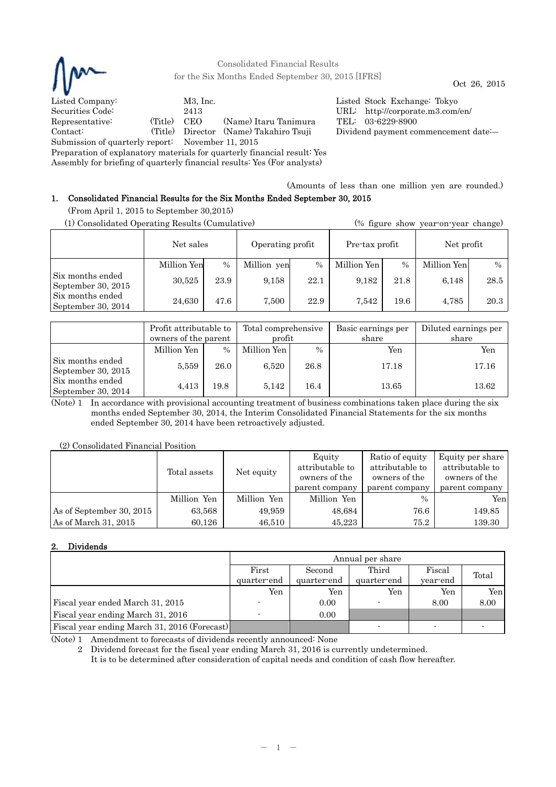

Consolidated Financial Results for the Six Months Ended September 30, 2015 [IFRS] Oct 26, 2015

Listed Company: M3, Inc. Listed Stock Exchange: Tokyo Securities Code: 2413 URL: http://corporate.m3.com/en/ Representative: (Title) CEO (Name) Itaru Tanimura TEL: 03-6229-8900 Contact: (Title) Director (Name) Takahiro Tsuji Dividend payment commencement date:― Submission of quarterly report: November 11, 2015

Preparation of explanatory materials for quarterly financial result: Yes

Assembly for briefing of quarterly financial results: Yes (For analysts)

# (Amounts of less than one million yen are rounded.) 1. Consolidated Financial Results for the Six Months Ended September 30, 2015

(From April 1, 2015 to September 30,2015)

| (1) Consolidated Operating Results (Cumulative) |                               |      |                |      | (% figure show year-on-year change) |      |             |               |
|-------------------------------------------------|-------------------------------|------|----------------|------|-------------------------------------|------|-------------|---------------|
|                                                 | Net sales<br>Operating profit |      | Pre-tax profit |      | Net profit                          |      |             |               |
|                                                 | Million Yen                   | $\%$ | Million yen    | $\%$ | Million Yen                         | $\%$ | Million Yen | $\frac{0}{0}$ |
| Six months ended<br>September 30, 2015          | 30,525                        | 23.9 | 9.158          | 22.1 | 9.182                               | 21.8 | 6,148       | 28.5          |
| Six months ended<br>September 30, 2014          | 24,630                        | 47.6 | 7.500          | 22.9 | 7.542                               | 19.6 | 4.785       | 20.3          |

|                                        | Profit attributable to<br>owners of the parent |               | Total comprehensive<br>profit |               | Basic earnings per<br>share | Diluted earnings per<br>share |
|----------------------------------------|------------------------------------------------|---------------|-------------------------------|---------------|-----------------------------|-------------------------------|
|                                        | Million Yen                                    | $\frac{0}{0}$ | Million Yen                   | $\frac{0}{0}$ | Yen                         | Yen                           |
| Six months ended<br>September 30, 2015 | 5,559                                          | 26.0          | 6.520                         | 26.8          | 17.18                       | 17.16                         |
| Six months ended<br>September 30, 2014 | 4,413                                          | 19.8          | 5.142                         | 16.4          | 13.65                       | 13.62                         |

(Note) 1 In accordance with provisional accounting treatment of business combinations taken place during the six months ended September 30, 2014, the Interim Consolidated Financial Statements for the six months ended September 30, 2014 have been retroactively adjusted.

(2) Consolidated Financial Position

|                          | Total assets | Net equity  | Equity<br>attributable to<br>owners of the<br>parent company | Ratio of equity<br>attributable to<br>owners of the<br>parent company | Equity per share<br>attributable to<br>owners of the<br>parent company |
|--------------------------|--------------|-------------|--------------------------------------------------------------|-----------------------------------------------------------------------|------------------------------------------------------------------------|
|                          | Million Yen  | Million Yen | Million Yen                                                  | $\frac{0}{0}$                                                         | Yenl                                                                   |
| As of September 30, 2015 | 63,568       | 49,959      | 48,684                                                       | 76.6                                                                  | 149.85                                                                 |
| As of March 31, 2015     | 60.126       | 46,510      | 45.223                                                       | 75.2                                                                  | 139.30                                                                 |

# 2. Dividends

|                                              | Annual per share         |             |             |          |       |  |  |
|----------------------------------------------|--------------------------|-------------|-------------|----------|-------|--|--|
|                                              | First                    | Second      | Third       | Fiscal   | Total |  |  |
|                                              | quarter-end              | quarter-end | quarter-end | year-end |       |  |  |
|                                              | Yen                      | Yen         | Yen         | Yen      | Yen   |  |  |
| Fiscal year ended March 31, 2015             |                          | 0.00        |             | 8.00     | 8.00  |  |  |
| Fiscal year ending March 31, 2016            | $\overline{\phantom{a}}$ | 0.00        |             |          |       |  |  |
| Fiscal year ending March 31, 2016 (Forecast) |                          |             |             |          |       |  |  |

(Note) 1 Amendment to forecasts of dividends recently announced: None

2 Dividend forecast for the fiscal year ending March 31, 2016 is currently undetermined.

It is to be determined after consideration of capital needs and condition of cash flow hereafter.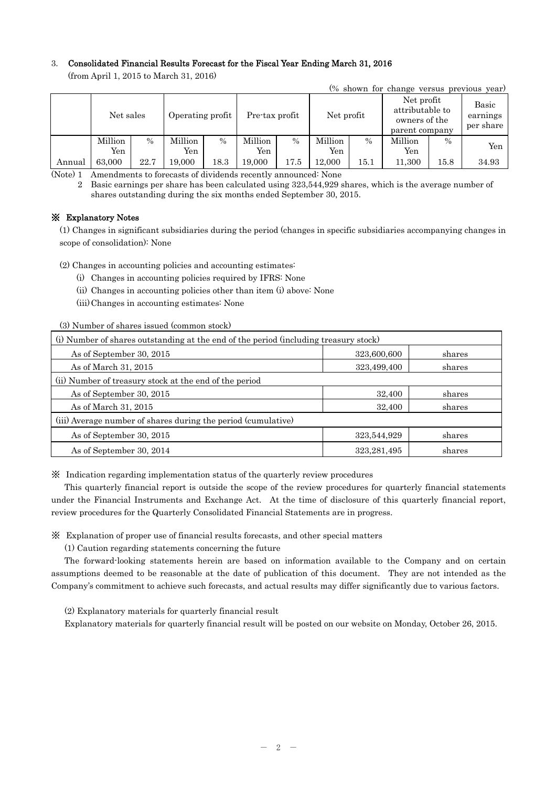# 3. Consolidated Financial Results Forecast for the Fiscal Year Ending March 31, 2016

(from April 1, 2015 to March 31, 2016)

|        |                |               |                  |               |                |      |                |      |                                                                  |               | (% shown for change versus previous year) |
|--------|----------------|---------------|------------------|---------------|----------------|------|----------------|------|------------------------------------------------------------------|---------------|-------------------------------------------|
|        | Net sales      |               | Operating profit |               | Pre-tax profit |      | Net profit     |      | Net profit<br>attributable to<br>owners of the<br>parent company |               | Basic<br>earnings<br>per share            |
|        | Million<br>Yen | $\frac{0}{0}$ | Million<br>Yen   | $\frac{0}{0}$ | Million<br>Yen | $\%$ | Million<br>Yen | $\%$ | Million<br>Yen                                                   | $\frac{0}{0}$ | Yen                                       |
| Annual | 63,000         | 22.7          | $19{,}000$       | 18.3          | 19,000         | 17.5 | 12.000         | 15.1 | 11,300                                                           | $15.8\,$      | 34.93                                     |

(Note) 1 Amendments to forecasts of dividends recently announced: None

2 Basic earnings per share has been calculated using 323,544,929 shares, which is the average number of shares outstanding during the six months ended September 30, 2015.

# ※ Explanatory Notes

(1) Changes in significant subsidiaries during the period (changes in specific subsidiaries accompanying changes in scope of consolidation): None

(2) Changes in accounting policies and accounting estimates:

(i) Changes in accounting policies required by IFRS: None

(ii) Changes in accounting policies other than item (i) above: None

(iii) Changes in accounting estimates: None

(3) Number of shares issued (common stock)

| (i) Number of shares outstanding at the end of the period (including treasury stock) |               |        |  |  |  |
|--------------------------------------------------------------------------------------|---------------|--------|--|--|--|
| As of September 30, 2015                                                             | 323,600,600   | shares |  |  |  |
| As of March 31, 2015                                                                 | 323,499,400   | shares |  |  |  |
| (ii) Number of treasury stock at the end of the period                               |               |        |  |  |  |
| As of September 30, 2015                                                             | 32,400        | shares |  |  |  |
| As of March 31, 2015                                                                 | 32,400        | shares |  |  |  |
| (iii) Average number of shares during the period (cumulative)                        |               |        |  |  |  |
| As of September 30, 2015                                                             | 323,544,929   | shares |  |  |  |
| As of September 30, 2014                                                             | 323, 281, 495 | shares |  |  |  |

※ Indication regarding implementation status of the quarterly review procedures

This quarterly financial report is outside the scope of the review procedures for quarterly financial statements under the Financial Instruments and Exchange Act. At the time of disclosure of this quarterly financial report, review procedures for the Quarterly Consolidated Financial Statements are in progress.

※ Explanation of proper use of financial results forecasts, and other special matters

(1) Caution regarding statements concerning the future

The forward-looking statements herein are based on information available to the Company and on certain assumptions deemed to be reasonable at the date of publication of this document. They are not intended as the Company's commitment to achieve such forecasts, and actual results may differ significantly due to various factors.

(2) Explanatory materials for quarterly financial result

Explanatory materials for quarterly financial result will be posted on our website on Monday, October 26, 2015.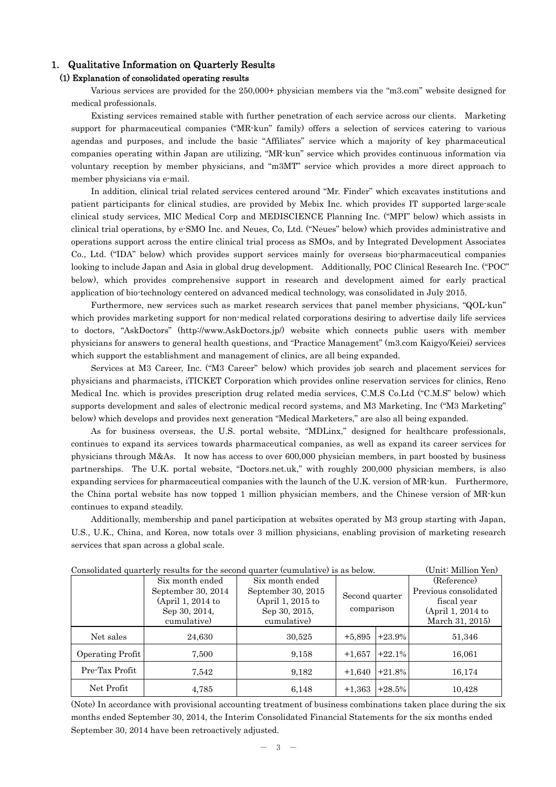# 1. Qualitative Information on Quarterly Results

## (1) Explanation of consolidated operating results

Various services are provided for the 250,000+ physician members via the "m3.com" website designed for medical professionals.

Existing services remained stable with further penetration of each service across our clients. Marketing support for pharmaceutical companies ("MR-kun" family) offers a selection of services catering to various agendas and purposes, and include the basic "Affiliates" service which a majority of key pharmaceutical companies operating within Japan are utilizing, "MR-kun" service which provides continuous information via voluntary reception by member physicians, and "m3MT" service which provides a more direct approach to member physicians via e-mail.

In addition, clinical trial related services centered around "Mr. Finder" which excavates institutions and patient participants for clinical studies, are provided by Mebix Inc. which provides IT supported large-scale clinical study services, MIC Medical Corp and MEDISCIENCE Planning Inc. ("MPI" below) which assists in clinical trial operations, by e-SMO Inc. and Neues, Co, Ltd. ("Neues" below) which provides administrative and operations support across the entire clinical trial process as SMOs, and by Integrated Development Associates Co., Ltd. ("IDA" below) which provides support services mainly for overseas bio-pharmaceutical companies looking to include Japan and Asia in global drug development. Additionally, POC Clinical Research Inc. ("POC" below), which provides comprehensive support in research and development aimed for early practical application of bio-technology centered on advanced medical technology, was consolidated in July 2015.

Furthermore, new services such as market research services that panel member physicians, "QOL-kun" which provides marketing support for non-medical related corporations desiring to advertise daily life services to doctors, "AskDoctors" (http://www.AskDoctors.jp/) website which connects public users with member physicians for answers to general health questions, and "Practice Management" (m3.com Kaigyo/Keiei) services which support the establishment and management of clinics, are all being expanded.

Services at M3 Career, Inc. ("M3 Career" below) which provides job search and placement services for physicians and pharmacists, iTICKET Corporation which provides online reservation services for clinics, Reno Medical Inc. which is provides prescription drug related media services, C.M.S Co.Ltd ("C.M.S" below) which supports development and sales of electronic medical record systems, and M3 Marketing, Inc ("M3 Marketing" below) which develops and provides next generation "Medical Marketers," are also all being expanded.

As for business overseas, the U.S. portal website, "MDLinx," designed for healthcare professionals, continues to expand its services towards pharmaceutical companies, as well as expand its career services for physicians through M&As. It now has access to over 600,000 physician members, in part boosted by business partnerships. The U.K. portal website, "Doctors.net.uk," with roughly 200,000 physician members, is also expanding services for pharmaceutical companies with the launch of the U.K. version of MR-kun. Furthermore, the China portal website has now topped 1 million physician members, and the Chinese version of MR-kun continues to expand steadily.

Additionally, membership and panel participation at websites operated by M3 group starting with Japan, U.S., U.K., China, and Korea, now totals over 3 million physicians, enabling provision of marketing research services that span across a global scale.

| Consolidated quarterly results for the second quarter (cumulative) is as below.<br>/ Aliin, miilimii 1211 |                     |                    |                |          |                       |  |  |  |  |
|-----------------------------------------------------------------------------------------------------------|---------------------|--------------------|----------------|----------|-----------------------|--|--|--|--|
|                                                                                                           | Six month ended     | Six month ended    |                |          | (Reference)           |  |  |  |  |
|                                                                                                           | September 30, 2014  | September 30, 2015 | Second quarter |          | Previous consolidated |  |  |  |  |
|                                                                                                           | $(April 1, 2014$ to | (April 1, 2015 to  |                |          | fiscal year           |  |  |  |  |
|                                                                                                           | Sep 30, 2014,       | Sep 30, 2015,      | comparison     |          | (April 1, 2014 to     |  |  |  |  |
|                                                                                                           | cumulative)         | cumulative)        |                |          | March 31, 2015)       |  |  |  |  |
| Net sales                                                                                                 | 24,630              | 30,525             | $+5,895$       | $+23.9%$ | 51,346                |  |  |  |  |
| Operating Profit                                                                                          | 7,500               | 9,158              | $+1,657$       | $+22.1%$ | 16,061                |  |  |  |  |
| Pre-Tax Profit                                                                                            | 7,542               | 9,182              | $+1,640$       | $+21.8%$ | 16,174                |  |  |  |  |
| Net Profit                                                                                                | 4,785               | 6,148              | $+1,363$       | $+28.5%$ | 10,428                |  |  |  |  |

 $\Gamma$  Consolidated quarterly results for the second quarter (cumulative) is as below. (Unit: Million Yon)

(Note) In accordance with provisional accounting treatment of business combinations taken place during the six months ended September 30, 2014, the Interim Consolidated Financial Statements for the six months ended September 30, 2014 have been retroactively adjusted.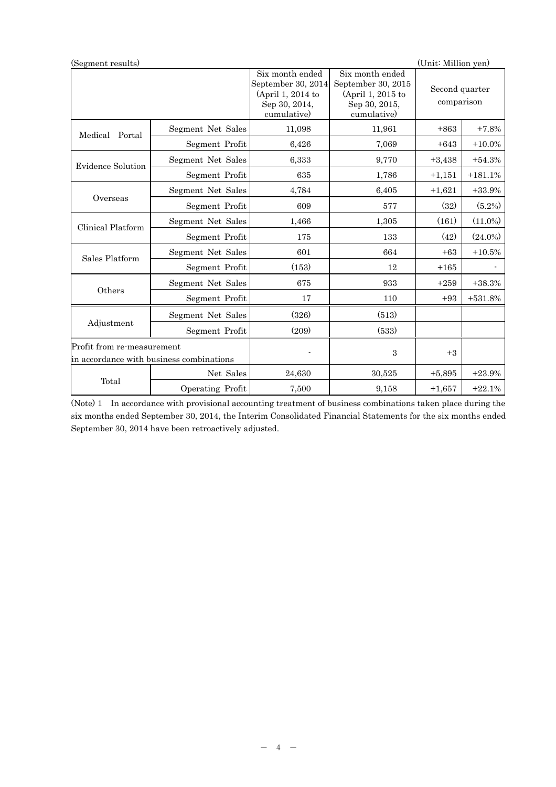| (Unit: Million yen)<br>(Segment results)                               |                   |                                                                                            |                                                                                            |                              |            |  |
|------------------------------------------------------------------------|-------------------|--------------------------------------------------------------------------------------------|--------------------------------------------------------------------------------------------|------------------------------|------------|--|
|                                                                        |                   | Six month ended<br>September 30, 2014<br>(April 1, 2014 to<br>Sep 30, 2014,<br>cumulative) | Six month ended<br>September 30, 2015<br>(April 1, 2015 to<br>Sep 30, 2015,<br>cumulative) | Second quarter<br>comparison |            |  |
| Medical<br>Portal                                                      | Segment Net Sales | 11,098                                                                                     | 11,961                                                                                     | $+863$                       | $+7.8%$    |  |
|                                                                        | Segment Profit    | 6,426                                                                                      | 7,069                                                                                      | $+643$                       | $+10.0\%$  |  |
| <b>Evidence Solution</b>                                               | Segment Net Sales | 6,333                                                                                      | 9,770                                                                                      | $+3,438$                     | $+54.3%$   |  |
|                                                                        | Segment Profit    | 635                                                                                        | 1,786                                                                                      | $+1,151$                     | $+181.1%$  |  |
|                                                                        | Segment Net Sales | 4,784                                                                                      | 6,405                                                                                      | $+1,621$                     | $+33.9%$   |  |
| Overseas                                                               | Segment Profit    | 609                                                                                        | 577                                                                                        | (32)                         | $(5.2\%)$  |  |
| Clinical Platform                                                      | Segment Net Sales | 1,466                                                                                      | 1,305                                                                                      | (161)                        | $(11.0\%)$ |  |
|                                                                        | Segment Profit    | 175                                                                                        | 133                                                                                        | (42)                         | $(24.0\%)$ |  |
| Sales Platform                                                         | Segment Net Sales | 601                                                                                        | 664                                                                                        | $+63$                        | $+10.5%$   |  |
|                                                                        | Segment Profit    | (153)                                                                                      | 12                                                                                         | $+165$                       |            |  |
|                                                                        | Segment Net Sales | 675                                                                                        | 933                                                                                        | $+259$                       | $+38.3%$   |  |
| Others                                                                 | Segment Profit    | 17                                                                                         | 110                                                                                        | $+93$                        | $+531.8%$  |  |
|                                                                        | Segment Net Sales | (326)                                                                                      | (513)                                                                                      |                              |            |  |
| Adjustment                                                             | Segment Profit    | (209)                                                                                      | (533)                                                                                      |                              |            |  |
| Profit from re-measurement<br>in accordance with business combinations |                   |                                                                                            | 3                                                                                          | $+3$                         |            |  |
|                                                                        | Net Sales         | 24,630                                                                                     | 30,525                                                                                     | $+5,895$                     | $+23.9%$   |  |
| Total                                                                  | Operating Profit  | 7,500                                                                                      | 9,158                                                                                      | $+1,657$                     | $+22.1%$   |  |

(Note) 1 In accordance with provisional accounting treatment of business combinations taken place during the six months ended September 30, 2014, the Interim Consolidated Financial Statements for the six months ended September 30, 2014 have been retroactively adjusted.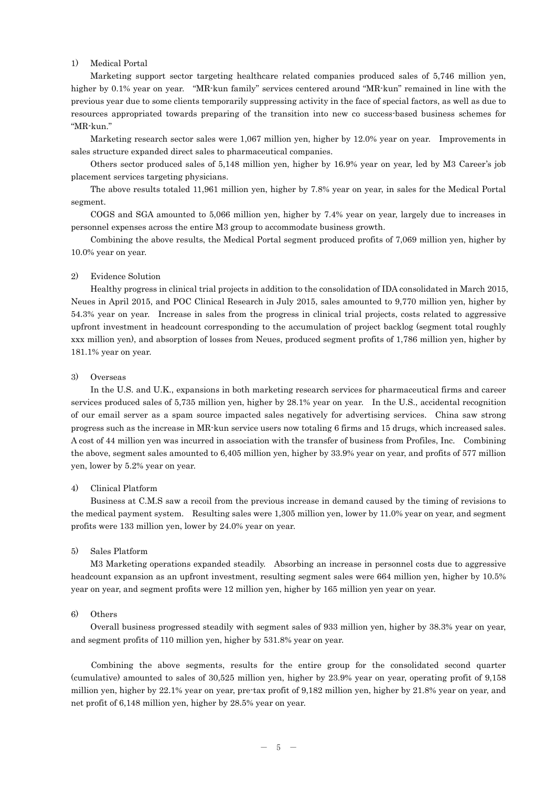## 1) Medical Portal

Marketing support sector targeting healthcare related companies produced sales of 5,746 million yen, higher by 0.1% year on year. "MR-kun family" services centered around "MR-kun" remained in line with the previous year due to some clients temporarily suppressing activity in the face of special factors, as well as due to resources appropriated towards preparing of the transition into new co success-based business schemes for "MR-kun."

Marketing research sector sales were 1,067 million yen, higher by 12.0% year on year. Improvements in sales structure expanded direct sales to pharmaceutical companies.

Others sector produced sales of 5,148 million yen, higher by 16.9% year on year, led by M3 Career's job placement services targeting physicians.

The above results totaled 11,961 million yen, higher by 7.8% year on year, in sales for the Medical Portal segment.

 COGS and SGA amounted to 5,066 million yen, higher by 7.4% year on year, largely due to increases in personnel expenses across the entire M3 group to accommodate business growth.

 Combining the above results, the Medical Portal segment produced profits of 7,069 million yen, higher by 10.0% year on year.

### 2) Evidence Solution

Healthy progress in clinical trial projects in addition to the consolidation of IDA consolidated in March 2015, Neues in April 2015, and POC Clinical Research in July 2015, sales amounted to 9,770 million yen, higher by 54.3% year on year. Increase in sales from the progress in clinical trial projects, costs related to aggressive upfront investment in headcount corresponding to the accumulation of project backlog (segment total roughly xxx million yen), and absorption of losses from Neues, produced segment profits of 1,786 million yen, higher by 181.1% year on year.

### 3) Overseas

In the U.S. and U.K., expansions in both marketing research services for pharmaceutical firms and career services produced sales of 5,735 million yen, higher by 28.1% year on year. In the U.S., accidental recognition of our email server as a spam source impacted sales negatively for advertising services. China saw strong progress such as the increase in MR-kun service users now totaling 6 firms and 15 drugs, which increased sales. A cost of 44 million yen was incurred in association with the transfer of business from Profiles, Inc. Combining the above, segment sales amounted to 6,405 million yen, higher by 33.9% year on year, and profits of 577 million yen, lower by 5.2% year on year.

### 4) Clinical Platform

Business at C.M.S saw a recoil from the previous increase in demand caused by the timing of revisions to the medical payment system. Resulting sales were 1,305 million yen, lower by 11.0% year on year, and segment profits were 133 million yen, lower by 24.0% year on year.

### 5) Sales Platform

M3 Marketing operations expanded steadily. Absorbing an increase in personnel costs due to aggressive headcount expansion as an upfront investment, resulting segment sales were 664 million yen, higher by 10.5% year on year, and segment profits were 12 million yen, higher by 165 million yen year on year.

## 6) Others

Overall business progressed steadily with segment sales of 933 million yen, higher by 38.3% year on year, and segment profits of 110 million yen, higher by 531.8% year on year.

Combining the above segments, results for the entire group for the consolidated second quarter (cumulative) amounted to sales of 30,525 million yen, higher by 23.9% year on year, operating profit of 9,158 million yen, higher by 22.1% year on year, pre-tax profit of 9,182 million yen, higher by 21.8% year on year, and net profit of 6,148 million yen, higher by 28.5% year on year.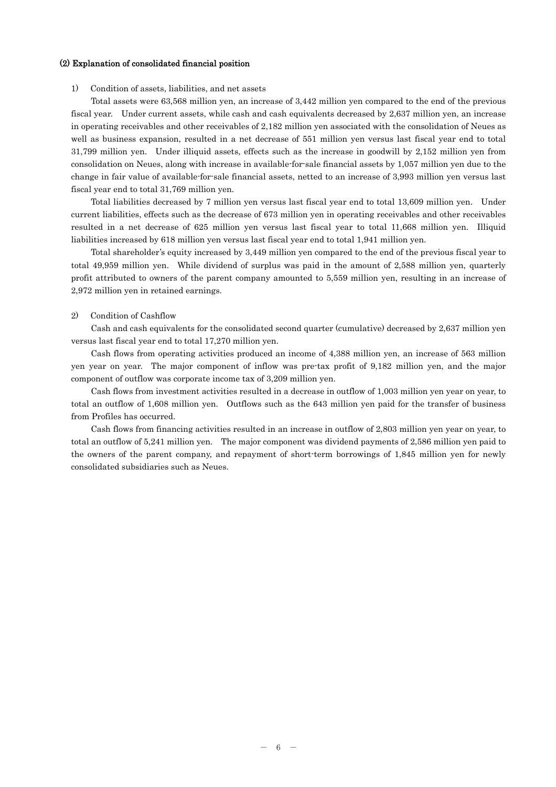#### (2) Explanation of consolidated financial position

### 1) Condition of assets, liabilities, and net assets

Total assets were 63,568 million yen, an increase of 3,442 million yen compared to the end of the previous fiscal year. Under current assets, while cash and cash equivalents decreased by 2,637 million yen, an increase in operating receivables and other receivables of 2,182 million yen associated with the consolidation of Neues as well as business expansion, resulted in a net decrease of 551 million yen versus last fiscal year end to total 31,799 million yen. Under illiquid assets, effects such as the increase in goodwill by 2,152 million yen from consolidation on Neues, along with increase in available-for-sale financial assets by 1,057 million yen due to the change in fair value of available-for-sale financial assets, netted to an increase of 3,993 million yen versus last fiscal year end to total 31,769 million yen.

Total liabilities decreased by 7 million yen versus last fiscal year end to total 13,609 million yen. Under current liabilities, effects such as the decrease of 673 million yen in operating receivables and other receivables resulted in a net decrease of 625 million yen versus last fiscal year to total 11,668 million yen. Illiquid liabilities increased by 618 million yen versus last fiscal year end to total 1,941 million yen.

Total shareholder's equity increased by 3,449 million yen compared to the end of the previous fiscal year to total 49,959 million yen. While dividend of surplus was paid in the amount of 2,588 million yen, quarterly profit attributed to owners of the parent company amounted to 5,559 million yen, resulting in an increase of 2,972 million yen in retained earnings.

#### 2) Condition of Cashflow

Cash and cash equivalents for the consolidated second quarter (cumulative) decreased by 2,637 million yen versus last fiscal year end to total 17,270 million yen.

Cash flows from operating activities produced an income of 4,388 million yen, an increase of 563 million yen year on year. The major component of inflow was pre-tax profit of 9,182 million yen, and the major component of outflow was corporate income tax of 3,209 million yen.

Cash flows from investment activities resulted in a decrease in outflow of 1,003 million yen year on year, to total an outflow of 1,608 million yen. Outflows such as the 643 million yen paid for the transfer of business from Profiles has occurred.

Cash flows from financing activities resulted in an increase in outflow of 2,803 million yen year on year, to total an outflow of 5,241 million yen. The major component was dividend payments of 2,586 million yen paid to the owners of the parent company, and repayment of short-term borrowings of 1,845 million yen for newly consolidated subsidiaries such as Neues.